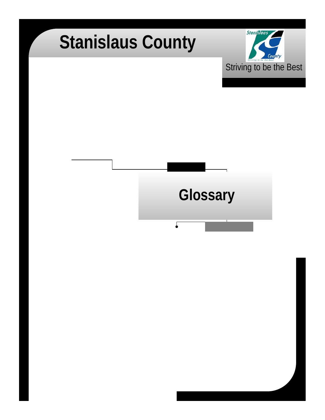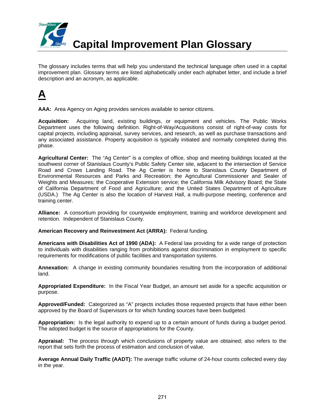

The glossary includes terms that will help you understand the technical language often used in a capital improvement plan. Glossary terms are listed alphabetically under each alphabet letter, and include a brief description and an acronym, as applicable.



**AAA:** Area Agency on Aging provides services available to senior citizens.

**Acquisition:** Acquiring land, existing buildings, or equipment and vehicles. The Public Works Department uses the following definition. Right-of-Way/Acquisitions consist of right-of-way costs for capital projects, including appraisal, survey services, and research, as well as purchase transactions and any associated assistance. Property acquisition is typically initiated and normally completed during this phase.

**Agricultural Center:** The "Ag Center" is a complex of office, shop and meeting buildings located at the southwest corner of Stanislaus County's Public Safety Center site, adjacent to the intersection of Service Road and Crows Landing Road. The Ag Center is home to Stanislaus County Department of Environmental Resources and Parks and Recreation; the Agricultural Commissioner and Sealer of Weights and Measures; the Cooperative Extension service; the California Milk Advisory Board; the State of California Department of Food and Agriculture; and the United States Department of Agriculture (USDA.) The Ag Center is also the location of Harvest Hall, a multi-purpose meeting, conference and training center.

**Alliance:** A consortium providing for countywide employment, training and workforce development and retention. Independent of Stanislaus County.

**American Recovery and Reinvestment Act (ARRA):** Federal funding.

**Americans with Disabilities Act of 1990 (ADA):** A Federal law providing for a wide range of protection to individuals with disabilities ranging from prohibitions against discrimination in employment to specific requirements for modifications of public facilities and transportation systems.

**Annexation:** A change in existing community boundaries resulting from the incorporation of additional land.

**Appropriated Expenditure:** In the Fiscal Year Budget, an amount set aside for a specific acquisition or purpose.

**Approved/Funded:** Categorized as "A" projects includes those requested projects that have either been approved by the Board of Supervisors or for which funding sources have been budgeted.

**Appropriation:** Is the legal authority to expend up to a certain amount of funds during a budget period. The adopted budget is the source of appropriations for the County.

**Appraisal:** The process through which conclusions of property value are obtained; also refers to the report that sets forth the process of estimation and conclusion of value.

**Average Annual Daily Traffic (AADT):** The average traffic volume of 24-hour counts collected every day in the year.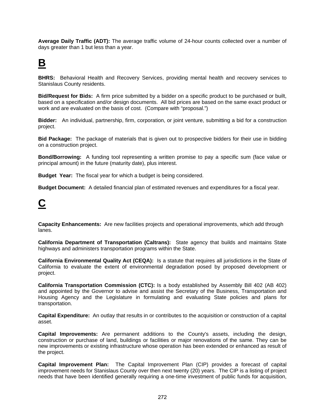**Average Daily Traffic (ADT):** The average traffic volume of 24-hour counts collected over a number of days greater than 1 but less than a year.

### **B**

**BHRS:** Behavioral Health and Recovery Services, providing mental health and recovery services to Stanislaus County residents.

**Bid/Request for Bids:** A firm price submitted by a bidder on a specific product to be purchased or built, based on a specification and/or design documents. All bid prices are based on the same exact product or work and are evaluated on the basis of cost. (Compare with "proposal.")

**Bidder:** An individual, partnership, firm, corporation, or joint venture, submitting a bid for a construction project.

**Bid Package:** The package of materials that is given out to prospective bidders for their use in bidding on a construction project.

**Bond/Borrowing:** A funding tool representing a written promise to pay a specific sum (face value or principal amount) in the future (maturity date), plus interest.

**Budget Year:** The fiscal year for which a budget is being considered.

**Budget Document:** A detailed financial plan of estimated revenues and expenditures for a fiscal year.

#### **C**

**Capacity Enhancements:** Are new facilities projects and operational improvements, which add through lanes.

**California Department of Transportation (Caltrans):** State agency that builds and maintains State highways and administers transportation programs within the State.

**California Environmental Quality Act (CEQA):** Is a statute that requires all jurisdictions in the State of California to evaluate the extent of environmental degradation posed by proposed development or project.

**California Transportation Commission (CTC):** Is a body established by Assembly Bill 402 (AB 402) and appointed by the Governor to advise and assist the Secretary of the Business, Transportation and Housing Agency and the Legislature in formulating and evaluating State policies and plans for transportation.

**Capital Expenditure:** An outlay that results in or contributes to the acquisition or construction of a capital asset.

**Capital Improvements:** Are permanent additions to the County's assets, including the design, construction or purchase of land, buildings or facilities or major renovations of the same. They can be new improvements or existing infrastructure whose operation has been extended or enhanced as result of the project.

**Capital Improvement Plan:** The Capital Improvement Plan (CIP) provides a forecast of capital improvement needs for Stanislaus County over then next twenty (20) years. The CIP is a listing of project needs that have been identified generally requiring a one-time investment of public funds for acquisition,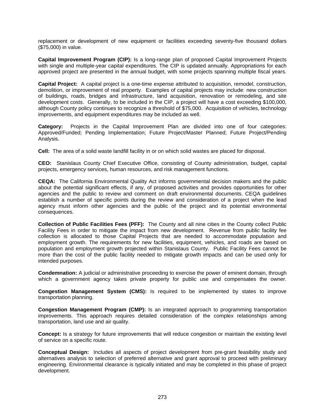replacement or development of new equipment or facilities exceeding seventy-five thousand dollars (\$75,000) in value.

**Capital Improvement Program (CIP):** Is a long-range plan of proposed Capital Improvement Projects with single and multiple-year capital expenditures. The CIP is updated annually. Appropriations for each approved project are presented in the annual budget, with some projects spanning multiple fiscal years.

**Capital Project:** A capital project is a one-time expense attributed to acquisition, remodel, construction, demolition, or improvement of real property. Examples of capital projects may include: new construction of buildings, roads, bridges and infrastructure, land acquisition, renovation or remodeling, and site development costs. Generally, to be included in the CIP, a project will have a cost exceeding \$100,000, although County policy continues to recognize a threshold of \$75,000. Acquisition of vehicles, technology improvements, and equipment expenditures may be included as well.

**Category:** Projects in the Capital Improvement Plan are divided into one of four categories: Approved/Funded; Pending Implementation; Future Project/Master Planned; Future Project/Pending Analysis.

**Cell:** The area of a solid waste landfill facility in or on which solid wastes are placed for disposal.

**CEO:** Stanislaus County Chief Executive Office, consisting of County administration, budget, capital projects, emergency services, human resources, and risk management functions.

**CEQA:** The California Environmental Quality Act informs governmental decision makers and the public about the potential significant effects, if any, of proposed activities and provides opportunities for other agencies and the public to review and comment on draft environmental documents. CEQA guidelines establish a number of specific points during the review and consideration of a project when the lead agency must inform other agencies and the public of the project and its potential environmental consequences.

**Collection of Public Facilities Fees (PFF):** The County and all nine cities in the County collect Public Facility Fees in order to mitigate the impact from new development. Revenue from public facility fee collection is allocated to those Capital Projects that are needed to accommodate population and employment growth. The requirements for new facilities, equipment, vehicles, and roads are based on population and employment growth projected within Stanislaus County. Public Facility Fees cannot be more than the cost of the public facility needed to mitigate growth impacts and can be used only for intended purposes.

**Condemnation:** A judicial or administrative proceeding to exercise the power of eminent domain, through which a government agency takes private property for public use and compensates the owner.

**Congestion Management System (CMS):** Is required to be implemented by states to improve transportation planning.

**Congestion Management Program (CMP):** Is an integrated approach to programming transportation improvements. This approach requires detailed consideration of the complex relationships among transportation, land use and air quality.

**Concept:** Is a strategy for future improvements that will reduce congestion or maintain the existing level of service on a specific route.

**Conceptual Design:** Includes all aspects of project development from pre-grant feasibility study and alternatives analysis to selection of preferred alternative and grant approval to proceed with preliminary engineering. Environmental clearance is typically initiated and may be completed in this phase of project development.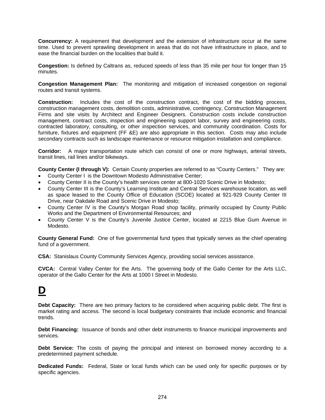**Concurrency:** A requirement that development and the extension of infrastructure occur at the same time. Used to prevent sprawling development in areas that do not have infrastructure in place, and to ease the financial burden on the localities that build it.

**Congestion:** Is defined by Caltrans as, reduced speeds of less than 35 mile per hour for longer than 15 minutes.

**Congestion Management Plan:** The monitoring and mitigation of increased congestion on regional routes and transit systems.

**Construction:** Includes the cost of the construction contract, the cost of the bidding process, construction management costs, demolition costs, administrative, contingency, Construction Management Firms and site visits by Architect and Engineer Designers. Construction costs include construction management, contract costs, inspection and engineering support labor, survey and engineering costs, contracted laboratory, consulting, or other inspection services, and community coordination. Costs for furniture, fixtures and equipment (FF &E) are also appropriate in this section. Costs may also include secondary contracts such as landscape maintenance or resource mitigation installation and compliance.

**Corridor:** A major transportation route which can consist of one or more highways, arterial streets, transit lines, rail lines and/or bikeways.

**County Center (I through V):** Certain County properties are referred to as "County Centers." They are:

- County Center I is the Downtown Modesto Administrative Center;
- County Center II is the County's health services center at 800-1020 Scenic Drive in Modesto;
- County Center III is the County's Learning Institute and Central Services warehouse location, as well as space leased to the County Office of Education (SCOE) located at 921-929 County Center III Drive, near Oakdale Road and Scenic Drive in Modesto;
- County Center IV is the County's Morgan Road shop facility, primarily occupied by County Public Works and the Department of Environmental Resources; and
- County Center V is the County's Juvenile Justice Center, located at 2215 Blue Gum Avenue in Modesto.

**County General Fund:** One of five governmental fund types that typically serves as the chief operating fund of a government.

**CSA:** Stanislaus County Community Services Agency, providing social services assistance.

**CVCA:** Central Valley Center for the Arts. The governing body of the Gallo Center for the Arts LLC, operator of the Gallo Center for the Arts at 1000 I Street in Modesto.

#### **D**

**Debt Capacity:** There are two primary factors to be considered when acquiring public debt. The first is market rating and access. The second is local budgetary constraints that include economic and financial trends.

**Debt Financing:** Issuance of bonds and other debt instruments to finance municipal improvements and services.

**Debt Service:** The costs of paying the principal and interest on borrowed money according to a predetermined payment schedule.

**Dedicated Funds:** Federal, State or local funds which can be used only for specific purposes or by specific agencies.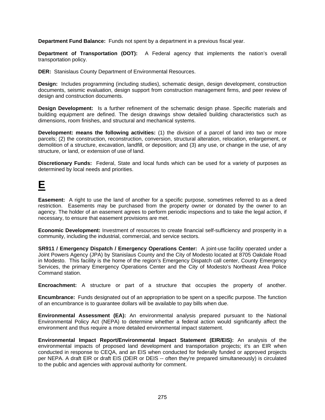**Department Fund Balance:** Funds not spent by a department in a previous fiscal year.

**Department of Transportation (DOT):** A Federal agency that implements the nation's overall transportation policy.

**DER:** Stanislaus County Department of Environmental Resources.

**Design:** Includes programming (including studies), schematic design, design development, construction documents, seismic evaluation, design support from construction management firms, and peer review of design and construction documents.

**Design Development:** Is a further refinement of the schematic design phase. Specific materials and building equipment are defined. The design drawings show detailed building characteristics such as dimensions, room finishes, and structural and mechanical systems.

**Development: means the following activities:** (1) the division of a parcel of land into two or more parcels; (2) the construction, reconstruction, conversion, structural alteration, relocation, enlargement, or demolition of a structure, excavation, landfill, or deposition; and (3) any use, or change in the use, of any structure, or land, or extension of use of land.

**Discretionary Funds:** Federal, State and local funds which can be used for a variety of purposes as determined by local needs and priorities.

#### **E**

**Easement:** A right to use the land of another for a specific purpose, sometimes referred to as a deed restriction. Easements may be purchased from the property owner or donated by the owner to an agency. The holder of an easement agrees to perform periodic inspections and to take the legal action, if necessary, to ensure that easement provisions are met.

**Economic Development:** Investment of resources to create financial self-sufficiency and prosperity in a community, including the industrial, commercial, and service sectors.

**SR911 / Emergency Dispatch / Emergency Operations Center:** A joint-use facility operated under a Joint Powers Agency (JPA) by Stanislaus County and the City of Modesto located at 8705 Oakdale Road in Modesto. This facility is the home of the region's Emergency Dispatch call center, County Emergency Services, the primary Emergency Operations Center and the City of Modesto's Northeast Area Police Command station.

**Encroachment:** A structure or part of a structure that occupies the property of another.

**Encumbrance:** Funds designated out of an appropriation to be spent on a specific purpose. The function of an encumbrance is to guarantee dollars will be available to pay bills when due.

**Environmental Assessment (EA):** An environmental analysis prepared pursuant to the National Environmental Policy Act (NEPA) to determine whether a federal action would significantly affect the environment and thus require a more detailed environmental impact statement.

**Environmental Impact Report/Environmental Impact Statement (EIR/EIS):** An analysis of the environmental impacts of proposed land development and transportation projects; it's an EIR when conducted in response to CEQA, and an EIS when conducted for federally funded or approved projects per NEPA. A draft EIR or draft EIS (DEIR or DEIS -- often they're prepared simultaneously) is circulated to the public and agencies with approval authority for comment.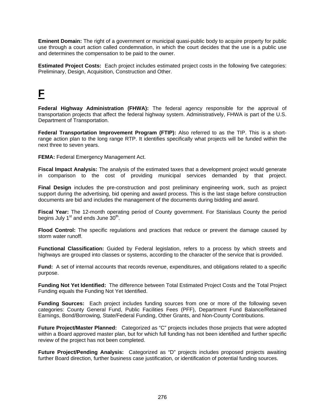**Eminent Domain:** The right of a government or municipal quasi-public body to acquire property for public use through a court action called condemnation, in which the court decides that the use is a public use and determines the compensation to be paid to the owner.

**Estimated Project Costs:** Each project includes estimated project costs in the following five categories: Preliminary, Design, Acquisition, Construction and Other.

#### **F**

**Federal Highway Administration (FHWA):** The federal agency responsible for the approval of transportation projects that affect the federal highway system. Administratively, FHWA is part of the U.S. Department of Transportation.

**Federal Transportation Improvement Program (FTIP):** Also referred to as the TIP. This is a shortrange action plan to the long range RTP. It identifies specifically what projects will be funded within the next three to seven years.

**FEMA:** Federal Emergency Management Act.

**Fiscal Impact Analysis:** The analysis of the estimated taxes that a development project would generate in comparison to the cost of providing municipal services demanded by that project.

**Final Design** includes the pre-construction and post preliminary engineering work, such as project support during the advertising, bid opening and award process. This is the last stage before construction documents are bid and includes the management of the documents during bidding and award.

**Fiscal Year:** The 12-month operating period of County government. For Stanislaus County the period begins July  $1<sup>st</sup>$  and ends June  $30<sup>th</sup>$ .

**Flood Control:** The specific regulations and practices that reduce or prevent the damage caused by storm water runoff.

**Functional Classification:** Guided by Federal legislation, refers to a process by which streets and highways are grouped into classes or systems, according to the character of the service that is provided.

**Fund:** A set of internal accounts that records revenue, expenditures, and obligations related to a specific purpose.

**Funding Not Yet Identified:** The difference between Total Estimated Project Costs and the Total Project Funding equals the Funding Not Yet Identified.

**Funding Sources:** Each project includes funding sources from one or more of the following seven categories: County General Fund, Public Facilities Fees (PFF), Department Fund Balance/Retained Earnings, Bond/Borrowing, State/Federal Funding, Other Grants, and Non-County Contributions.

**Future Project/Master Planned:** Categorized as "C" projects includes those projects that were adopted within a Board approved master plan, but for which full funding has not been identified and further specific review of the project has not been completed.

**Future Project/Pending Analysis:** Categorized as "D" projects includes proposed projects awaiting further Board direction, further business case justification, or identification of potential funding sources.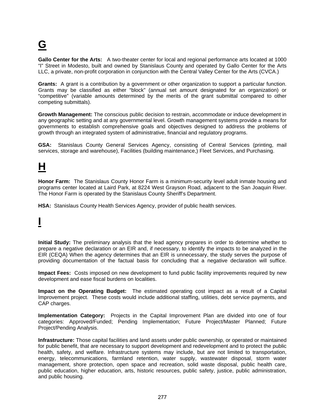# **G**

**Gallo Center for the Arts:** A two-theater center for local and regional performance arts located at 1000 "I" Street in Modesto, built and owned by Stanislaus County and operated by Gallo Center for the Arts LLC, a private, non-profit corporation in conjunction with the Central Valley Center for the Arts (CVCA.)

**Grants:** A grant is a contribution by a government or other organization to support a particular function. Grants may be classified as either "block" (annual set amount designated for an organization) or "competitive" (variable amounts determined by the merits of the grant submittal compared to other competing submittals).

**Growth Management:** The conscious public decision to restrain, accommodate or induce development in any geographic setting and at any governmental level. Growth management systems provide a means for governments to establish comprehensive goals and objectives designed to address the problems of growth through an integrated system of administrative, financial and regulatory programs.

**GSA:** Stanislaus County General Services Agency, consisting of Central Services (printing, mail services, storage and warehouse), Facilities (building maintenance,) Fleet Services, and Purchasing.

#### **H**

**Honor Farm:** The Stanislaus County Honor Farm is a minimum-security level adult inmate housing and programs center located at Laird Park, at 8224 West Grayson Road, adjacent to the San Joaquin River. The Honor Farm is operated by the Stanislaus County Sheriff's Department.

**HSA:** Stanislaus County Health Services Agency, provider of public health services.

## **I**

**Initial Study:** The preliminary analysis that the lead agency prepares in order to determine whether to prepare a negative declaration or an EIR and, if necessary, to identify the impacts to be analyzed in the EIR (CEQA) When the agency determines that an EIR is unnecessary, the study serves the purpose of providing documentation of the factual basis for concluding that a negative declaration will suffice.

**Impact Fees:** Costs imposed on new development to fund public facility improvements required by new development and ease fiscal burdens on localities.

**Impact on the Operating Budget:** The estimated operating cost impact as a result of a Capital Improvement project. These costs would include additional staffing, utilities, debt service payments, and CAP charges.

**Implementation Category:** Projects in the Capital Improvement Plan are divided into one of four categories: Approved/Funded; Pending Implementation; Future Project/Master Planned; Future Project/Pending Analysis.

**Infrastructure:** Those capital facilities and land assets under public ownership, or operated or maintained for public benefit, that are necessary to support development and redevelopment and to protect the public health, safety, and welfare. Infrastructure systems may include, but are not limited to transportation, energy, telecommunications, farmland retention, water supply, wastewater disposal, storm water management, shore protection, open space and recreation, solid waste disposal, public health care, public education, higher education, arts, historic resources, public safety, justice, public administration, and public housing.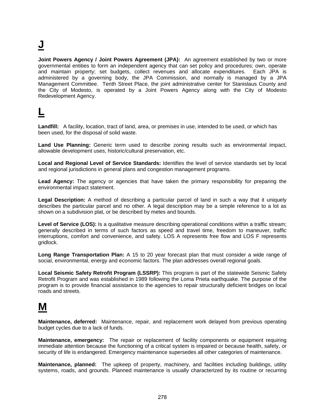# **J**

**Joint Powers Agency / Joint Powers Agreement (JPA):** An agreement established by two or more governmental entities to form an independent agency that can set policy and procedures; own, operate and maintain property; set budgets, collect revenues and allocate expenditures. Each JPA is administered by a governing body, the JPA Commission, and normally is managed by a JPA Management Committee. Tenth Street Place, the joint administrative center for Stanislaus County and the City of Modesto, is operated by a Joint Powers Agency along with the City of Modesto Redevelopment Agency.

#### **L**

**Landfill:** A facility, location, tract of land, area, or premises in use, intended to be used, or which has been used, for the disposal of solid waste.

**Land Use Planning:** Generic term used to describe zoning results such as environmental impact, allowable development uses, historic/cultural preservation, etc.

**Local and Regional Level of Service Standards:** Identifies the level of service standards set by local and regional jurisdictions in general plans and congestion management programs.

**Lead Agency:** The agency or agencies that have taken the primary responsibility for preparing the environmental impact statement.

**Legal Description:** A method of describing a particular parcel of land in such a way that it uniquely describes the particular parcel and no other. A legal description may be a simple reference to a lot as shown on a subdivision plat, or be described by metes and bounds.

Level of Service (LOS): Is a qualitative measure describing operational conditions within a traffic stream; generally described in terms of such factors as speed and travel time, freedom to maneuver, traffic interruptions, comfort and convenience, and safety. LOS A represents free flow and LOS F represents gridlock.

**Long Range Transportation Plan:** A 15 to 20 year forecast plan that must consider a wide range of social, environmental, energy and economic factors. The plan addresses overall regional goals.

**Local Seismic Safety Retrofit Program (LSSRP):** This program is part of the statewide Seismic Safety Retrofit Program and was established in 1989 following the Loma Prieta earthquake. The purpose of the program is to provide financial assistance to the agencies to repair structurally deficient bridges on local roads and streets.

#### **M**

**Maintenance, deferred:** Maintenance, repair, and replacement work delayed from previous operating budget cycles due to a lack of funds.

**Maintenance, emergency:** The repair or replacement of facility components or equipment requiring immediate attention because the functioning of a critical system is impaired or because health, safety, or security of life is endangered. Emergency maintenance supersedes all other categories of maintenance.

**Maintenance, planned:** The upkeep of property, machinery, and facilities including buildings, utility systems, roads, and grounds. Planned maintenance is usually characterized by its routine or recurring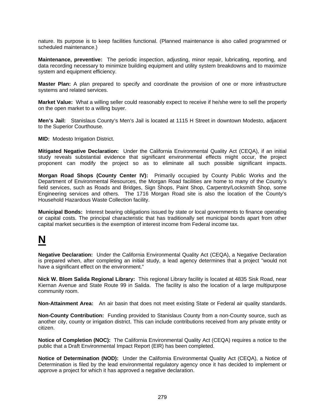nature. Its purpose is to keep facilities functional. (Planned maintenance is also called programmed or scheduled maintenance.)

**Maintenance, preventive:** The periodic inspection, adjusting, minor repair, lubricating, reporting, and data recording necessary to minimize building equipment and utility system breakdowns and to maximize system and equipment efficiency.

**Master Plan:** A plan prepared to specify and coordinate the provision of one or more infrastructure systems and related services.

**Market Value:** What a willing seller could reasonably expect to receive if he/she were to sell the property on the open market to a willing buyer.

**Men's Jail:** Stanislaus County's Men's Jail is located at 1115 H Street in downtown Modesto, adjacent to the Superior Courthouse.

**MID:** Modesto Irrigation District.

**Mitigated Negative Declaration:** Under the California Environmental Quality Act (CEQA), if an initial study reveals substantial evidence that significant environmental effects might occur, the project proponent can modify the project so as to eliminate all such possible significant impacts.

**Morgan Road Shops (County Center IV):** Primarily occupied by County Public Works and the Department of Environmental Resources, the Morgan Road facilities are home to many of the County's field services, such as Roads and Bridges, Sign Shops, Paint Shop, Carpentry/Locksmith Shop, some Engineering services and others. The 1716 Morgan Road site is also the location of the County's Household Hazardous Waste Collection facility.

**Municipal Bonds:** Interest bearing obligations issued by state or local governments to finance operating or capital costs. The principal characteristic that has traditionally set municipal bonds apart from other capital market securities is the exemption of interest income from Federal income tax.

#### **N**

**Negative Declaration:** Under the California Environmental Quality Act (CEQA), a Negative Declaration is prepared when, after completing an initial study, a lead agency determines that a project "would not have a significant effect on the environment."

**Nick W. Blom Salida Regional Library:** This regional Library facility is located at 4835 Sisk Road, near Kiernan Avenue and State Route 99 in Salida. The facility is also the location of a large multipurpose community room.

**Non-Attainment Area:** An air basin that does not meet existing State or Federal air quality standards.

**Non-County Contribution:** Funding provided to Stanislaus County from a non-County source, such as another city, county or irrigation district. This can include contributions received from any private entity or citizen.

**Notice of Completion (NOC):** The California Environmental Quality Act (CEQA) requires a notice to the public that a Draft Environmental Impact Report (EIR) has been completed.

**Notice of Determination (NOD):** Under the California Environmental Quality Act (CEQA), a Notice of Determination is filed by the lead environmental regulatory agency once it has decided to implement or approve a project for which it has approved a negative declaration.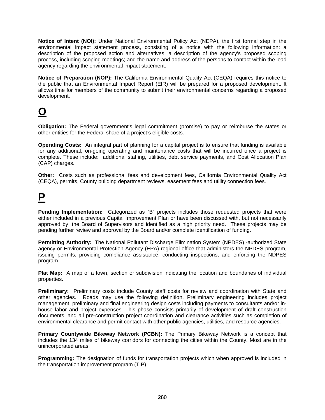**Notice of Intent (NOI):** Under National Environmental Policy Act (NEPA), the first formal step in the environmental impact statement process, consisting of a notice with the following information: a description of the proposed action and alternatives; a description of the agency's proposed scoping process, including scoping meetings; and the name and address of the persons to contact within the lead agency regarding the environmental impact statement.

**Notice of Preparation (NOP):** The California Environmental Quality Act (CEQA) requires this notice to the public that an Environmental Impact Report (EIR) will be prepared for a proposed development. It allows time for members of the community to submit their environmental concerns regarding a proposed development.

#### **O**

**Obligation:** The Federal government's legal commitment (promise) to pay or reimburse the states or other entities for the Federal share of a project's eligible costs.

**Operating Costs:** An integral part of planning for a capital project is to ensure that funding is available for any additional, on-going operating and maintenance costs that will be incurred once a project is complete. These include: additional staffing, utilities, debt service payments, and Cost Allocation Plan (CAP) charges.

**Other:** Costs such as professional fees and development fees, California Environmental Quality Act (CEQA), permits, County building department reviews, easement fees and utility connection fees.

#### **P**

**Pending Implementation:** Categorized as "B" projects includes those requested projects that were either included in a previous Capital Improvement Plan or have been discussed with, but not necessarily approved by, the Board of Supervisors and identified as a high priority need. These projects may be pending further review and approval by the Board and/or complete identification of funding.

**Permitting Authority:** The National Pollutant Discharge Elimination System (NPDES) -authorized State agency or Environmental Protection Agency (EPA) regional office that administers the NPDES program, issuing permits, providing compliance assistance, conducting inspections, and enforcing the NDPES program.

**Plat Map:** A map of a town, section or subdivision indicating the location and boundaries of individual properties.

**Preliminary:** Preliminary costs include County staff costs for review and coordination with State and other agencies. Roads may use the following definition. Preliminary engineering includes project management, preliminary and final engineering design costs including payments to consultants and/or inhouse labor and project expenses. This phase consists primarily of development of draft construction documents, and all pre-construction project coordination and clearance activities such as completion of environmental clearance and permit contact with other public agencies, utilities, and resource agencies.

**Primary Countywide Bikeway Network (PCBN):** The Primary Bikeway Network is a concept that includes the 134 miles of bikeway corridors for connecting the cities within the County. Most are in the unincorporated areas.

**Programming:** The designation of funds for transportation projects which when approved is included in the transportation improvement program (TIP).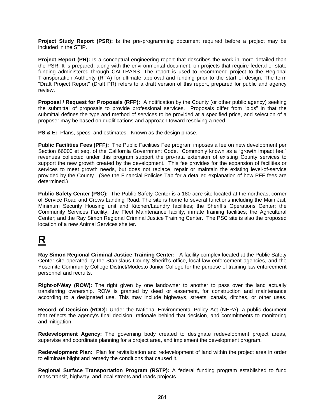**Project Study Report (PSR):** Is the pre-programming document required before a project may be included in the STIP.

**Project Report (PR):** Is a conceptual engineering report that describes the work in more detailed than the PSR. It is prepared, along with the environmental document, on projects that require federal or state funding administered through CALTRANS. The report is used to recommend project to the Regional Transportation Authority (RTA) for ultimate approval and funding prior to the start of design. The term "Draft Project Report" (Draft PR) refers to a draft version of this report, prepared for public and agency review.

**Proposal / Request for Proposals (RFP):** A notification by the County (or other public agency) seeking the submittal of proposals to provide professional services. Proposals differ from "bids" in that the submittal defines the type and method of services to be provided at a specified price, and selection of a proposer may be based on qualifications and approach toward resolving a need.

**PS & E:** Plans, specs, and estimates. Known as the design phase.

**Public Facilities Fees (PFF):** The Public Facilities Fee program imposes a fee on new development per Section 66000 et seq. of the California Government Code. Commonly known as a "growth impact fee," revenues collected under this program support the pro-rata extension of existing County services to support the new growth created by the development. This fee provides for the expansion of facilities or services to meet growth needs, but does not replace, repair or maintain the existing level-of-service provided by the County. (See the Financial Policies Tab for a detailed explanation of how PFF fees are determined.)

**Public Safety Center (PSC):** The Public Safety Center is a 180-acre site located at the northeast corner of Service Road and Crows Landing Road. The site is home to several functions including the Main Jail, Minimum Security Housing unit and Kitchen/Laundry facilities; the Sheriff's Operations Center; the Community Services Facility; the Fleet Maintenance facility; inmate training facilities; the Agricultural Center; and the Ray Simon Regional Criminal Justice Training Center. The PSC site is also the proposed location of a new Animal Services shelter.

### **R**

**Ray Simon Regional Criminal Justice Training Center:** A facility complex located at the Public Safety Center site operated by the Stanislaus County Sheriff's office, local law enforcement agencies, and the Yosemite Community College District/Modesto Junior College for the purpose of training law enforcement personnel and recruits.

**Right-of-Way (ROW):** The right given by one landowner to another to pass over the land actually transferring ownership. ROW is granted by deed or easement, for construction and maintenance according to a designated use. This may include highways, streets, canals, ditches, or other uses.

**Record of Decision (ROD):** Under the National Environmental Policy Act (NEPA), a public document that reflects the agency's final decision, rationale behind that decision, and commitments to monitoring and mitigation.

**Redevelopment Agency:** The governing body created to designate redevelopment project areas, supervise and coordinate planning for a project area, and implement the development program.

**Redevelopment Plan:** Plan for revitalization and redevelopment of land within the project area in order to eliminate blight and remedy the conditions that caused it.

**Regional Surface Transportation Program (RSTP):** A federal funding program established to fund mass transit, highway, and local streets and roads projects.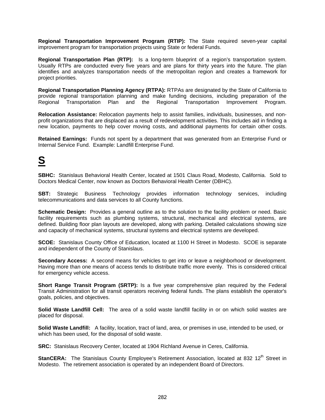**Regional Transportation Improvement Program (RTIP):** The State required seven-year capital improvement program for transportation projects using State or federal Funds.

**Regional Transportation Plan (RTP):** Is a long-term blueprint of a region's transportation system. Usually RTPs are conducted every five years and are plans for thirty years into the future. The plan identifies and analyzes transportation needs of the metropolitan region and creates a framework for project priorities.

**Regional Transportation Planning Agency (RTPA):** RTPAs are designated by the State of California to provide regional transportation planning and make funding decisions, including preparation of the Regional Transportation Plan and the Regional Transportation Improvement Program.

**Relocation Assistance:** Relocation payments help to assist families, individuals, businesses, and nonprofit organizations that are displaced as a result of redevelopment activities. This includes aid in finding a new location, payments to help cover moving costs, and additional payments for certain other costs.

**Retained Earnings:** Funds not spent by a department that was generated from an Enterprise Fund or Internal Service Fund. Example: Landfill Enterprise Fund.

#### **S**

**SBHC:** Stanislaus Behavioral Health Center, located at 1501 Claus Road, Modesto, California. Sold to Doctors Medical Center, now known as Doctors Behavioral Health Center (DBHC).

**SBT:** Strategic Business Technology provides information technology services, including telecommunications and data services to all County functions.

**Schematic Design:** Provides a general outline as to the solution to the facility problem or need. Basic facility requirements such as plumbing systems, structural, mechanical and electrical systems, are defined. Building floor plan layouts are developed, along with parking. Detailed calculations showing size and capacity of mechanical systems, structural systems and electrical systems are developed.

**SCOE:** Stanislaus County Office of Education, located at 1100 H Street in Modesto. SCOE is separate and independent of the County of Stanislaus.

**Secondary Access:** A second means for vehicles to get into or leave a neighborhood or development. Having more than one means of access tends to distribute traffic more evenly. This is considered critical for emergency vehicle access.

**Short Range Transit Program (SRTP):** Is a five year comprehensive plan required by the Federal Transit Administration for all transit operators receiving federal funds. The plans establish the operator's goals, policies, and objectives.

**Solid Waste Landfill Cell:** The area of a solid waste landfill facility in or on which solid wastes are placed for disposal.

**Solid Waste Landfill:** A facility, location, tract of land, area, or premises in use, intended to be used, or which has been used, for the disposal of solid waste.

**SRC:** Stanislaus Recovery Center, located at 1904 Richland Avenue in Ceres, California.

**StanCERA:** The Stanislaus County Employee's Retirement Association, located at 832 12<sup>th</sup> Street in Modesto. The retirement association is operated by an independent Board of Directors.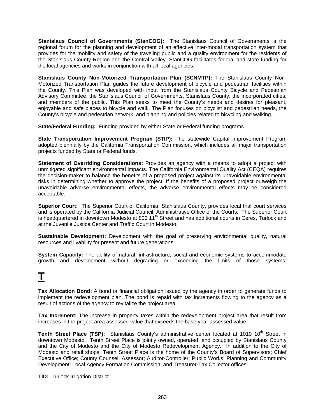**Stanislaus Council of Governments (StanCOG):** The Stanislaus Council of Governments is the regional forum for the planning and development of an effective inter-modal transportation system that provides for the mobility and safety of the traveling public and a quality environment for the residents of the Stanislaus County Region and the Central Valley. StanCOG facilitates federal and state funding for the local agencies and works in conjunction with all local agencies.

**Stanislaus County Non-Motorized Transportation Plan (SCNMTP):** The Stanislaus County Non-Motorized Transportation Plan guides the future development of bicycle and pedestrian facilities within the County. This Plan was developed with input from the Stanislaus County Bicycle and Pedestrian Advisory Committee, the Stanislaus Council of Governments, Stanislaus County, the incorporated cities, and members of the public. This Plan seeks to meet the County's needs and desires for pleasant, enjoyable and safe places to bicycle and walk. The Plan focuses on bicyclist and pedestrian needs, the County's bicycle and pedestrian network, and planning and policies related to bicycling and walking.

**State/Federal Funding:** Funding provided by either State or Federal funding programs.

**State Transportation Improvement Program (STIP):** The statewide Capital Improvement Program adopted biennially by the California Transportation Commission, which includes all major transportation projects funded by State or Federal funds.

**Statement of Overriding Considerations:** Provides an agency with a means to adopt a project with unmitigated significant environmental impacts. The California Environmental Quality Act (CEQA) requires the decision-maker to balance the benefits of a proposed project against its unavoidable environmental risks in determining whether to approve the project. If the benefits of a proposed project outweigh the unavoidable adverse environmental effects, the adverse environmental effects may be considered acceptable.

**Superior Court:** The Superior Court of California, Stanislaus County, provides local trial court services and is operated by the California Judicial Council, Administrative Office of the Courts. The Superior Court is headquartered in downtown Modesto at 800 11<sup>th</sup> Street and has additional courts in Ceres, Turlock and at the Juvenile Justice Center and Traffic Court in Modesto.

**Sustainable Development:** Development with the goal of preserving environmental quality, natural resources and livability for present and future generations.

**System Capacity:** The ability of natural, infrastructure, social and economic systems to accommodate growth and development without degrading or exceeding the limits of those systems.

## **T**

**Tax Allocation Bond:** A bond or financial obligation issued by the agency in order to generate funds to implement the redevelopment plan. The bond is repaid with tax increments flowing to the agency as a result of actions of the agency to revitalize the project area.

**Tax Increment:** The increase in property taxes within the redevelopment project area that result from increases in the project area assessed value that exceeds the base year assessed value.

**Tenth Street Place (TSP):** Stanislaus County's administrative center located at 1010 10<sup>th</sup> Street in downtown Modesto. Tenth Street Place is jointly owned, operated, and occupied by Stanislaus County and the City of Modesto and the City of Modesto Redevelopment Agency. In addition to the City of Modesto and retail shops, Tenth Street Place is the home of the County's Board of Supervisors; Chief Executive Office; County Counsel; Assessor; Auditor-Controller; Public Works; Planning and Community Development; Local Agency Formation Commission; and Treasurer-Tax Collector offices.

**TID:** Turlock Irrigation District.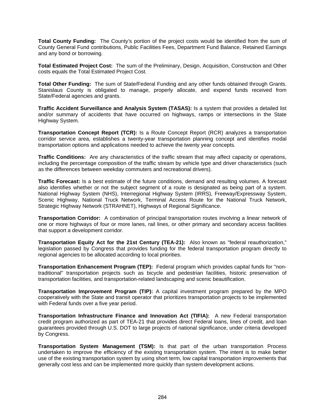**Total County Funding:** The County's portion of the project costs would be identified from the sum of County General Fund contributions, Public Facilities Fees, Department Fund Balance, Retained Earnings and any bond or borrowing.

**Total Estimated Project Cost:** The sum of the Preliminary, Design, Acquisition, Construction and Other costs equals the Total Estimated Project Cost.

**Total Other Funding:** The sum of State/Federal Funding and any other funds obtained through Grants. Stanislaus County is obligated to manage, properly allocate, and expend funds received from State/Federal agencies and grants.

**Traffic Accident Surveillance and Analysis System (TASAS):** Is a system that provides a detailed list and/or summary of accidents that have occurred on highways, ramps or intersections in the State Highway System.

**Transportation Concept Report (TCR):** Is a Route Concept Report (RCR) analyzes a transportation corridor service area, establishes a twenty-year transportation planning concept and identifies modal transportation options and applications needed to achieve the twenty year concepts.

**Traffic Conditions:** Are any characteristics of the traffic stream that may affect capacity or operations, including the percentage composition of the traffic stream by vehicle type and driver characteristics (such as the differences between weekday commuters and recreational drivers).

**Traffic Forecast:** Is a best estimate of the future conditions, demand and resulting volumes. A forecast also identifies whether or not the subject segment of a route is designated as being part of a system. National Highway System (NHS), Interregional Highway System (IRRS), Freeway/Expressway System, Scenic Highway, National Truck Network, Terminal Access Route for the National Truck Network, Strategic Highway Network (STRAHNET), Highways of Regional Significance.

**Transportation Corridor:** A combination of principal transportation routes involving a linear network of one or more highways of four or more lanes, rail lines, or other primary and secondary access facilities that support a development corridor.

**Transportation Equity Act for the 21st Century (TEA-21):** Also known as "federal reauthorization," legislation passed by Congress that provides funding for the federal transportation program directly to regional agencies to be allocated according to local priorities.

**Transportation Enhancement Program (TEP):** Federal program which provides capital funds for "nontraditional" transportation projects such as bicycle and pedestrian facilities, historic preservation of transportation facilities, and transportation-related landscaping and scenic beautification.

**Transportation Improvement Program (TIP):** A capital investment program prepared by the MPO cooperatively with the State and transit operator that prioritizes transportation projects to be implemented with Federal funds over a five year period.

**Transportation Infrastructure Finance and Innovation Act (TIFIA):** A new Federal transportation credit program authorized as part of TEA-21 that provides direct Federal loans, lines of credit, and loan guarantees provided through U.S. DOT to large projects of national significance, under criteria developed by Congress.

**Transportation System Management (TSM):** Is that part of the urban transportation Process undertaken to improve the efficiency of the existing transportation system. The intent is to make better use of the existing transportation system by using short term, low capital transportation improvements that generally cost less and can be implemented more quickly than system development actions.